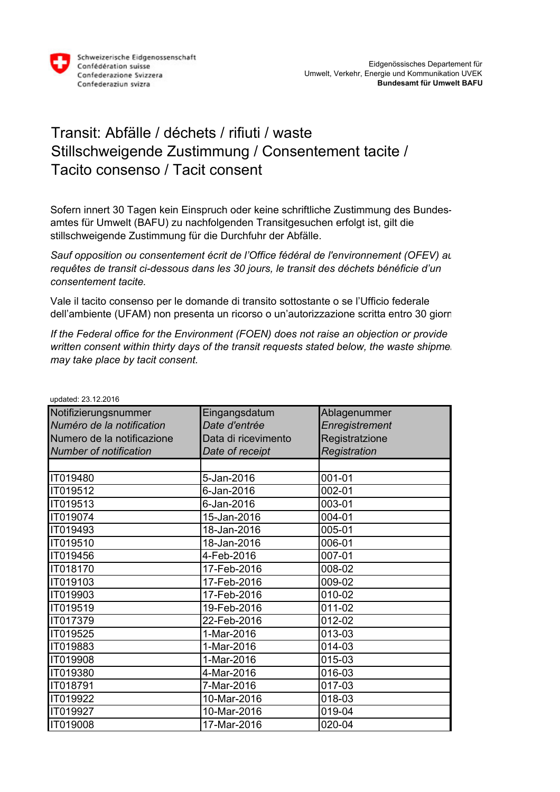

## Transit: Abfälle / déchets / rifiuti / waste Stillschweigende Zustimmung / Consentement tacite / Tacito consenso / Tacit consent

Sofern innert 30 Tagen kein Einspruch oder keine schriftliche Zustimmung des Bundesamtes für Umwelt (BAFU) zu nachfolgenden Transitgesuchen erfolgt ist, gilt die stillschweigende Zustimmung für die Durchfuhr der Abfälle.

Sauf opposition ou consentement écrit de l'Office fédéral de l'environnement *(OFEV)* au *requêtes de transit ci-dessous dans les 30 jours, le transit des déchets bénéficie d'un consentement tacite.*

Vale il tacito consenso per le domande di transito sottostante o se l'Ufficio federale dell'ambiente (UFAM) non presenta un ricorso o un'autorizzazione scritta entro 30 giorni.

*If the Federal office for the Environment (FOEN) does not raise an objection or provide written consent within thirty days of the transit requests stated below, the waste shipmer may take place by tacit consent.*

| updated: $23.12.2016$         |                     |                |
|-------------------------------|---------------------|----------------|
| Notifizierungsnummer          | Eingangsdatum       | Ablagenummer   |
| Numéro de la notification     | Date d'entrée       | Enregistrement |
| Numero de la notificazione    | Data di ricevimento | Registratzione |
| <b>Number of notification</b> | Date of receipt     | Registration   |
|                               |                     |                |
| IT019480                      | 5-Jan-2016          | 001-01         |
| IT019512                      | 6-Jan-2016          | 002-01         |
| IT019513                      | 6-Jan-2016          | 003-01         |
| IT019074                      | 15-Jan-2016         | 004-01         |
| IT019493                      | 18-Jan-2016         | 005-01         |
| IT019510                      | 18-Jan-2016         | 006-01         |
| IT019456                      | 4-Feb-2016          | 007-01         |
| IT018170                      | 17-Feb-2016         | 008-02         |
| IT019103                      | 17-Feb-2016         | 009-02         |
| IT019903                      | 17-Feb-2016         | 010-02         |
| IT019519                      | 19-Feb-2016         | 011-02         |
| IT017379                      | 22-Feb-2016         | 012-02         |
| IT019525                      | 1-Mar-2016          | 013-03         |
| IT019883                      | 1-Mar-2016          | 014-03         |
| IT019908                      | 1-Mar-2016          | 015-03         |
| IT019380                      | 4-Mar-2016          | 016-03         |
| IT018791                      | 7-Mar-2016          | 017-03         |
| IT019922                      | 10-Mar-2016         | 018-03         |
| IT019927                      | 10-Mar-2016         | 019-04         |
| IT019008                      | 17-Mar-2016         | 020-04         |

 $u_0 = 1$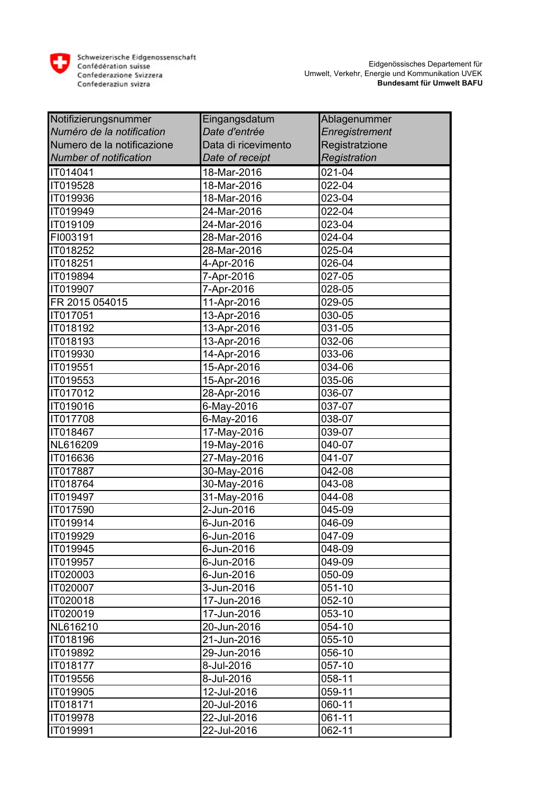

| Notifizierungsnummer          | Eingangsdatum       | Ablagenummer   |
|-------------------------------|---------------------|----------------|
| Numéro de la notification     | Date d'entrée       | Enregistrement |
| Numero de la notificazione    | Data di ricevimento | Registratzione |
| <b>Number of notification</b> | Date of receipt     | Registration   |
| IT014041                      | 18-Mar-2016         | 021-04         |
| IT019528                      | 18-Mar-2016         | 022-04         |
| IT019936                      | 18-Mar-2016         | 023-04         |
| IT019949                      | 24-Mar-2016         | 022-04         |
| IT019109                      | 24-Mar-2016         | 023-04         |
| FI003191                      | 28-Mar-2016         | 024-04         |
| IT018252                      | 28-Mar-2016         | 025-04         |
| IT018251                      | 4-Apr-2016          | 026-04         |
| IT019894                      | 7-Apr-2016          | 027-05         |
| IT019907                      | 7-Apr-2016          | 028-05         |
| FR 2015 054015                | 11-Apr-2016         | 029-05         |
| IT017051                      | 13-Apr-2016         | 030-05         |
| IT018192                      | 13-Apr-2016         | 031-05         |
| IT018193                      | 13-Apr-2016         | 032-06         |
| IT019930                      | 14-Apr-2016         | 033-06         |
| IT019551                      | 15-Apr-2016         | 034-06         |
| IT019553                      | 15-Apr-2016         | 035-06         |
| IT017012                      | 28-Apr-2016         | 036-07         |
| IT019016                      | 6-May-2016          | 037-07         |
| IT017708                      | 6-May-2016          | 038-07         |
| IT018467                      | 17-May-2016         | 039-07         |
| NL616209                      | 19-May-2016         | 040-07         |
| IT016636                      | 27-May-2016         | 041-07         |
| <b>IT017887</b>               | 30-May-2016         | 042-08         |
| IT018764                      | 30-May-2016         | 043-08         |
| IT019497                      | 31-May-2016         | 044-08         |
| IT017590                      | 2-Jun-2016          | 045-09         |
| IT019914                      | 6-Jun-2016          | 046-09         |
| TT019929                      | 6-Jun-2016          | 047-09         |
| IT019945                      | 6-Jun-2016          | 048-09         |
| IT019957                      | 6-Jun-2016          | 049-09         |
| IT020003                      | 6-Jun-2016          | 050-09         |
| IT020007                      | 3-Jun-2016          | 051-10         |
| IT020018                      | 17-Jun-2016         | 052-10         |
| IT020019                      | 17-Jun-2016         | 053-10         |
| NL616210                      | 20-Jun-2016         | 054-10         |
| IT018196                      | 21-Jun-2016         | 055-10         |
| IT019892                      | 29-Jun-2016         | 056-10         |
| <b>IT018177</b>               | 8-Jul-2016          | 057-10         |
| IT019556                      | 8-Jul-2016          | 058-11         |
| IT019905                      | 12-Jul-2016         | 059-11         |
| IT018171                      | 20-Jul-2016         | 060-11         |
| IT019978                      | 22-Jul-2016         | 061-11         |
| IT019991                      | 22-Jul-2016         | 062-11         |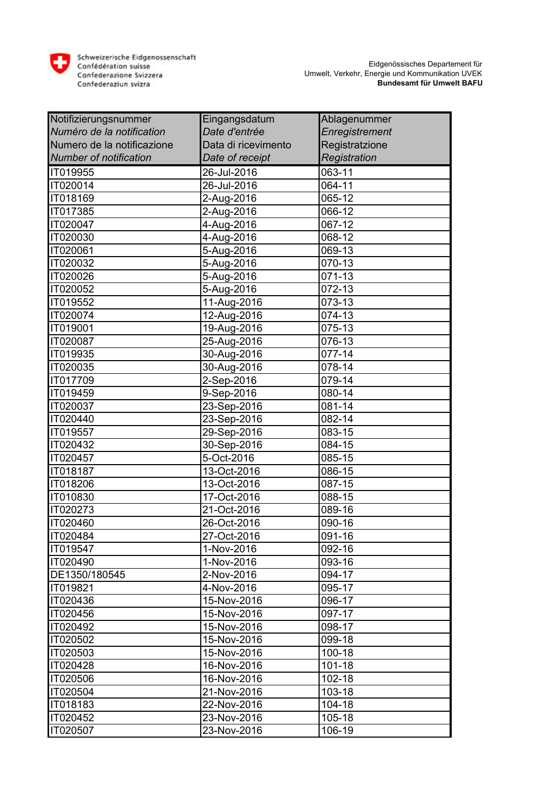

| Notifizierungsnummer          | Eingangsdatum       | Ablagenummer   |
|-------------------------------|---------------------|----------------|
| Numéro de la notification     | Date d'entrée       | Enregistrement |
| Numero de la notificazione    | Data di ricevimento | Registratzione |
| <b>Number of notification</b> | Date of receipt     | Registration   |
| IT019955                      | 26-Jul-2016         | 063-11         |
| IT020014                      | 26-Jul-2016         | 064-11         |
| IT018169                      | 2-Aug-2016          | 065-12         |
| IT017385                      | 2-Aug-2016          | 066-12         |
| IT020047                      | 4-Aug-2016          | 067-12         |
| IT020030                      | 4-Aug-2016          | 068-12         |
| IT020061                      | 5-Aug-2016          | 069-13         |
| IT020032                      | 5-Aug-2016          | 070-13         |
| IT020026                      | 5-Aug-2016          | 071-13         |
| IT020052                      | 5-Aug-2016          | 072-13         |
| IT019552                      | 11-Aug-2016         | 073-13         |
| IT020074                      | 12-Aug-2016         | 074-13         |
| IT019001                      | 19-Aug-2016         | 075-13         |
| IT020087                      | 25-Aug-2016         | 076-13         |
| IT019935                      | 30-Aug-2016         | 077-14         |
| IT020035                      | 30-Aug-2016         | 078-14         |
| IT017709                      | 2-Sep-2016          | 079-14         |
| IT019459                      | 9-Sep-2016          | 080-14         |
| IT020037                      | 23-Sep-2016         | 081-14         |
| IT020440                      | 23-Sep-2016         | 082-14         |
| IT019557                      | 29-Sep-2016         | 083-15         |
| IT020432                      | 30-Sep-2016         | 084-15         |
| IT020457                      | 5-Oct-2016          | 085-15         |
| IT018187                      | 13-Oct-2016         | 086-15         |
| IT018206                      | 13-Oct-2016         | 087-15         |
| IT010830                      | 17-Oct-2016         | 088-15         |
| IT020273                      | 21-Oct-2016         | 089-16         |
| IT020460                      | 26-Oct-2016         | 090-16         |
| IT020484                      | 27-Oct-2016         | 091-16         |
| IT019547                      | 1-Nov-2016          | 092-16         |
| IT020490                      | 1-Nov-2016          | 093-16         |
| DE1350/180545                 | 2-Nov-2016          | 094-17         |
| IT019821                      | 4-Nov-2016          | 095-17         |
| IT020436                      | 15-Nov-2016         | 096-17         |
| IT020456                      | 15-Nov-2016         | 097-17         |
| IT020492                      | 15-Nov-2016         | 098-17         |
| IT020502                      | 15-Nov-2016         | 099-18         |
| IT020503                      | 15-Nov-2016         | 100-18         |
| IT020428                      | 16-Nov-2016         | 101-18         |
| IT020506                      | 16-Nov-2016         | 102-18         |
| IT020504                      | 21-Nov-2016         | 103-18         |
| IT018183                      | 22-Nov-2016         | 104-18         |
| IT020452                      | 23-Nov-2016         | 105-18         |
| IT020507                      | 23-Nov-2016         | 106-19         |